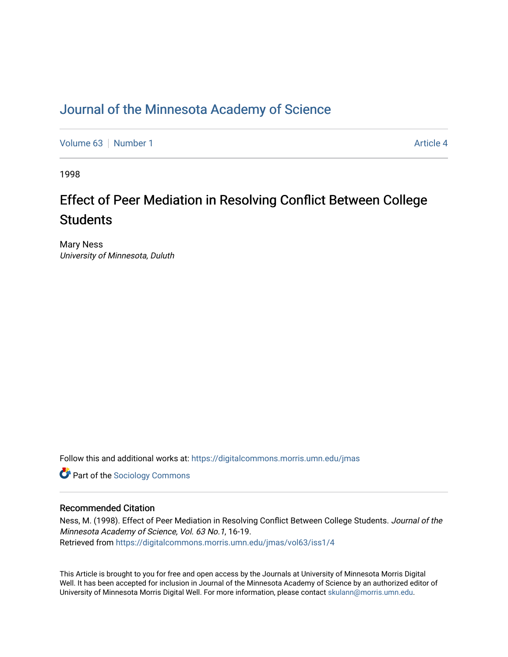### [Journal of the Minnesota Academy of Science](https://digitalcommons.morris.umn.edu/jmas)

[Volume 63](https://digitalcommons.morris.umn.edu/jmas/vol63) [Number 1](https://digitalcommons.morris.umn.edu/jmas/vol63/iss1) [Article 4](https://digitalcommons.morris.umn.edu/jmas/vol63/iss1/4) Article 4

1998

# Effect of Peer Mediation in Resolving Conflict Between College **Students**

Mary Ness University of Minnesota, Duluth

Follow this and additional works at: [https://digitalcommons.morris.umn.edu/jmas](https://digitalcommons.morris.umn.edu/jmas?utm_source=digitalcommons.morris.umn.edu%2Fjmas%2Fvol63%2Fiss1%2F4&utm_medium=PDF&utm_campaign=PDFCoverPages) 

**Part of the [Sociology Commons](https://network.bepress.com/hgg/discipline/416?utm_source=digitalcommons.morris.umn.edu%2Fjmas%2Fvol63%2Fiss1%2F4&utm_medium=PDF&utm_campaign=PDFCoverPages)** 

#### Recommended Citation

Ness, M. (1998). Effect of Peer Mediation in Resolving Conflict Between College Students. Journal of the Minnesota Academy of Science, Vol. 63 No.1, 16-19. Retrieved from [https://digitalcommons.morris.umn.edu/jmas/vol63/iss1/4](https://digitalcommons.morris.umn.edu/jmas/vol63/iss1/4?utm_source=digitalcommons.morris.umn.edu%2Fjmas%2Fvol63%2Fiss1%2F4&utm_medium=PDF&utm_campaign=PDFCoverPages)

This Article is brought to you for free and open access by the Journals at University of Minnesota Morris Digital Well. It has been accepted for inclusion in Journal of the Minnesota Academy of Science by an authorized editor of University of Minnesota Morris Digital Well. For more information, please contact [skulann@morris.umn.edu](mailto:skulann@morris.umn.edu).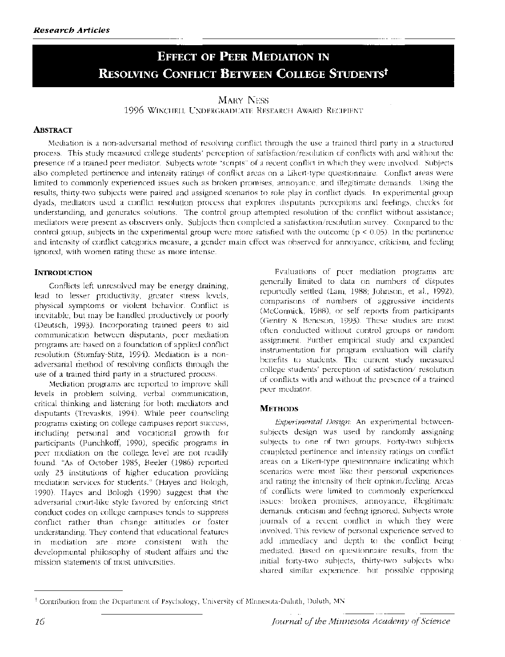## **EFFECT OF PEER MEDIATION IN RESOLVING CONFLICT BETWEEN COLLEGE STUDENTSt**

#### MARY NESS

1996 WINCHELL UNDERGRADUATE RESEARCH AWARD RECIPIENT

#### **ABsTRACT**

Mediation is a non-adversarial method of resolving conflict through the use a trained third party in a structured process. This study measured college students' perception of satisfaction/resolution of conflicts with and without the presence of a trained peer mediator. Subjects wrote "scripts" of a recent conflict in which they were involved. Subjects also completed pertinence and intensity ratings of conflict areas on a Likert-type questionnaire. Conflict areas were limited to commonly experienced issues such as broken promises, annoyance, and illegitimate demands. Using the results, thirty-two subjects were paired and assigned scenarios to role play in conflict dyads. In experimental group dyads, mediators used a conflict resolution process that explores disputants perceptions and feelings, checks for understanding, and generates solutions. The control group attempted resolution of the conflict without assistance; mediators were present as observers only. Subjects then completed a satisfaction/resolution survey. Compared to the control group, subjects in the experimental group were more satisfied with the outcome ( $p \le 0.05$ ). In the pertinence and intensity of conflict categories measure, a gender main effect was observed for annoyance, criticism, and feeling ignored, with women rating these as more intense.

#### **INTRODUCTION**

Conflicts left unresolved may be energy draining, lead to lesser productivity, greater stress levels, physical symptoms or violent behavior. Conflict is inevitable, but may be handled productively or poorly (Deutsch, 1993). Incorporating trained peers to aid communication between disputants, peer mediation programs are based on a foundation of applied conflict resolution (Stomfay-Stitz, 1994). Mediation is a nonadversarial method of resolving conflicts through the use of a trained third party in a structured process.

Mediation programs are reported to improve skill levels in problem solving, verbal communication, critical thinking and listening for both mediators and disputants (Trevaskis, 1994). While peer counseling programs existing on college campuses report success, including personal and vocational growth for participants (Punchkoff, 1990), specific programs in peer mediation on the college. level are not readily found. "As of October 1985, Beeler (1986) reported only 23 institutions of higher education providing mediation services for students." (Hayes and Balogh, 1990). Hayes and Bologh (1990) suggest that the adversarial court-like style favored by enforcing strict conduct codes on college campuses tends to suppress conflict rather than change attitudes or foster understanding. They contend that educational features in mediation are more consistent with the developmental philosophy of student affairs and the mission statements of most universities.

Evaluations of peer mediation programs are generally limited to data on numbers of disputes reportedly settled (Lam, 1988; Johnson, et a!., 1992), comparisons of numbers of aggressive incidents (McCormick, 1988), or self reports from participants (Gentry & Beneson, 1993). These studies are most often conducted without control groups or random assignment. Further empirical study and expanded instrumentation for program evaluation will clarify benefits to students. The current study measured college students' perception of satisfaction/ resolution of conflicts with and without the presence of a trained peer mediator.

#### **METHODS**

*Experimental Design:* An experimental betweensubjects design was used by randomly assigning subjects to one of two groups. Forty-two subjects completed pertinence and intensity ratings on conflict areas on a Likert-type questionnaire indicating which scenarios were most like their personal experiences and rating the intensity of their opinion/feeling. Areas of conflicts were limited to commonly experienced issues: broken promises, annoyance, illegitimate demands, criticism and feeling ignored. Subjects wrote journals of a recent conflict in which they were involved. This review of personal experience served to add immediacy and depth to the conflict being mediated. Based on questionnaire results, from the initial forty-two subjects, thirty-two subjects who shared similar experience, but possible opposing

t Contribution from the Department of Psychology, University of Minnesota-Duluth, Duluth, MN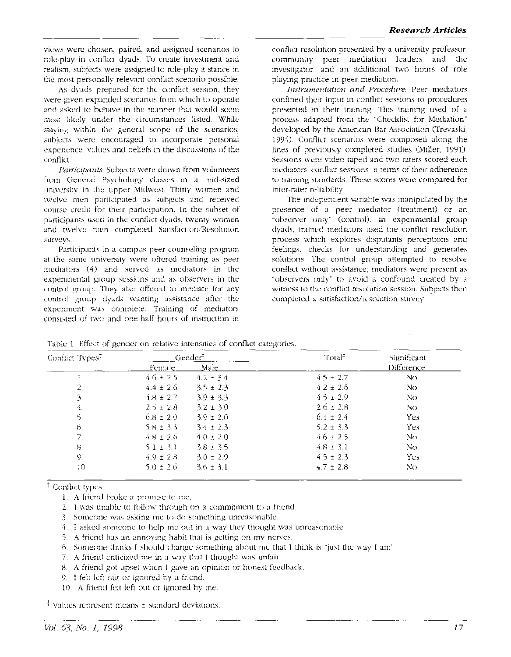views were chosen, paired, and assigned scenarios to role-play in conflict dyads. To create investment and realism, subjects were assigned to role-play a stance in the most personally relevant conflict scenario possible.

As dyads prepared for the conflict session, they were given expanded scenarios from which to operate and asked to behave in the manner that would seem most likely under the circumstances listed. While staying within the general scope of the scenarios, subjects were encouraged to incorporate personal experience, values and beliefs in the discussions of the conflict.

*Participants:* Subjects were drawn from volunteers from General Psychology classes in a mid-sized university in the upper Midwest. Thirty women and twelve men participated as subjects and received course credit for their participation. In the subset of participants used in the conflict dyads, twenty women and twelve men completed Satisfaction/Resolution surveys.

Participants in a campus peer counseling program at the same university were offered training as peer mediators (4) and served as mediators in the experimental group sessions and as observers in the control group. They also offered to mediate for any control group dyads wanting assistance after the experiment was complete. Training of mediators consisted of two and one-half hours of instruction in

conflict resolution presented by a university professor, community peer mediation leaders and the investigator, and an additional two hours of role playing practice in peer mediation.

*Instrumentation and Procedure:* Peer mediators confined their input in conflict sessions to procedures presented in their training. This training used of a process adapted from the "Checklist for Mediation" developed by the American Bar Association (Trevaski, 1994). Conflict scenarios were composed along the lines of previously completed studies (Miller, 1991). Sessions were video taped and two raters scored each mediators' conflict sessions in terms of their adherence to training standards. These scores were compared for inter-rater reliability.

The independent variable was manipulated by the presence of a peer mediator (treatment) or an "observer only" (control). In experimental group dyads, trained mediators used the conflict resolution process which explores disputants perceptions and feelings, checks for understanding and generates solutions. The control group attempted to resolve conflict without assistance; mediators were present as "observers only" to avoid a confound created by a witness to the conflict resolution session. Subjects then completed a satisfaction/resolution survey.

|  |  |  |  |  |  | Table 1. Effect of gender on relative intensities of conflict categories. |
|--|--|--|--|--|--|---------------------------------------------------------------------------|
|--|--|--|--|--|--|---------------------------------------------------------------------------|

| Conflict Types <sup>7</sup> | Gender <sup>#</sup> |               | Total <sup>‡</sup> | Significant |
|-----------------------------|---------------------|---------------|--------------------|-------------|
|                             | Female_             | <u>Male </u>  |                    | Difference  |
|                             | $4.6 \pm 2.5$       | $4.2 \pm 3.4$ | $4.5 \pm 2.7$      | No.         |
| 2.                          | $4.4 \pm 2.6$       | $3.5 \pm 2.3$ | $4.2 \pm 2.6$      | No          |
| 3.                          | $4.8 \pm 2.7$       | $3.9 \pm 3.3$ | $4.5 \pm 2.9$      | No.         |
| 4.                          | $2.5 \pm 2.8$       | $3.2 \pm 3.0$ | $2.6 \pm 2.8$      | NΟ          |
|                             | $6.8 \pm 2.0$       | $3.9 \pm 2.0$ | $6.1 \pm 2.4$      | <b>Yes</b>  |
| 6.                          | $5.8 \pm 3.3$       | $3.4 \pm 2.3$ | $5.2 \pm 3.3$      | <b>Yes</b>  |
| 7.                          | $4.8 \pm 2.6$       | $4.0 \pm 2.0$ | $4.6 \pm 2.5$      | No          |
| 8.                          | $5.1 \pm 3.1$       | $3.8 \pm 3.5$ | $4.8 \pm 3.1$      | Nο          |
| -9.                         | $4.9 \pm 2.8$       | $3.0 \pm 2.9$ | $4.5 \pm 2.3$      | Yes.        |
| 10.                         | $5.0 \pm 2.6$       | $3.6 \pm 3.1$ | $4.7 \pm 2.8$      | No          |

t Conflict types:

- 1. A friend broke a promise to me,
- 2. I was unable to follow through on a commitment to a friend.
- 3. Someone was asking me to do something unreasonable.
- 4. I asked someone to help me out in a way they thought was unreasonable
- 5. A friend has an annoying habit that is getting on my nerves.
- 6. Someone thinks I should change something about me that I think is "just the way I am"
- 7. A friend criticized me in a way that I thought was unfair.
- 8. A friend got upset when I gave an opinion or honest feedback.
- 9. I felt left out or ignored by a friend.
- 10. A friend felt left out or ignored by me.

 $\ddagger$  Values represent means  $\pm$  standard deviations.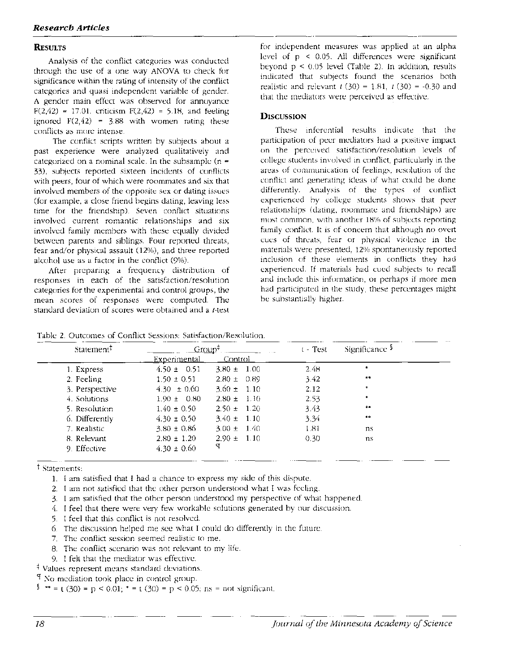#### **RESULTS**

Analysis of the conflict categories was conducted through the use of a one way ANOVA to check for significance within the rating of intensity of the conflict categories and quasi independent variable of gender. A gender main effect was observed for annoyance  $F(2,42) = 17.01$ , criticism  $F(2,42) = 5.18$ , and feeling ignored  $F(2,42) = 3.88$  with women rating these conflicts as more intense.

The conflict scripts written by subjects about a past experience were analyzed qualitatively and categorized on a nominal scale. In the subsample ( $n =$ 33), subjects reported sixteen incidents of conflicts with peers, four of which were roommates and six that involved members of the opposite sex or dating issues (for example, a close friend begins dating, leaving less time for the friendship). Seven conflict situations involved current romantic relationships and six involved family members with these equally divided between parents and siblings. Four reported threats, fear and/or physical assault (12%), and three reported alcohol use as a factor in the conflict (9%).

After preparing a frequency distribution of responses in each of the satisfaction/resolution categories for the experimental and control groups, the mean scores of responses were computed. The standard deviation of scores were obtained and a t-test

for independent measures was applied at an alpha level of p < 0.05. All differences were significant beyond  $p \le 0.05$  level (Table 2). In addition, results indicated that subjects found the scenarios both realistic and relevant  $t(30) = 1.81$ ,  $t(30) = -0.30$  and that the mediators were perceived as effective.

#### **DISCUSSION**

These inferential results indicate that the participation of peer mediators had a positive impact on the perceived satisfaction/resolution levels of college students involved in conflict, particularly in the areas of communication of feelings, resolution of the conflict and generating ideas of what could be done differently. Analysis of the types of conflict experienced by college students shows that peer relationships (dating, roommate and friendships) are most common, with another 18% of subjects reporting family conflict. It is of concern that although no overt cues of threats, fear or physical violence in the materials were presented, 12% spontaneously reported inclusion of these elements in conflicts they had experienced. If materials had cued subjects to recall and include this information, or perhaps if more men had participated in the study, these percentages might be substantially higher.

| Statement      | Group <sup>+</sup>  |                 | $t$ - Test | Significance $\frac{1}{2}$ |  |
|----------------|---------------------|-----------------|------------|----------------------------|--|
|                | <u>Experimental</u> | Control -       |            |                            |  |
| 1. Express     | $4.50 \pm 0.51$     | $3.80 \pm 1.00$ | 2.48       | *                          |  |
| 2. Feeling     | $1.50 \pm 0.51$     | $2.80 \pm 0.89$ | 3.42       | **                         |  |
| 3. Perspective | $4.30 \pm 0.60$     | $3.60 \pm 1.10$ | 2.12       |                            |  |
| 4. Solutions   | $1.90 \pm 0.80$     | $2.80 \pm 1.10$ | 2.53       | ۰                          |  |
| 5. Resolution  | $1.40 \pm 0.50$     | $2.50 \pm 1.20$ | 3.43       | $\clubsuit\spadesuit$      |  |
| 6. Differently | $4.30 \pm 0.50$     | $3.40 \pm 1.10$ | 3.34       | 車車                         |  |
| 7. Realistic   | $3.80 \pm 0.86$     | $3.00 \pm 1.40$ | 1.81       | ns.                        |  |
| 8. Relevant    | $2.80 \pm 1.20$     | $2.90 \pm 1.10$ | 0.30       | ns                         |  |
| 9. Effective   | $4.30 \pm 0.60$     | đ               |            |                            |  |

t Statements:

1. I am satisfied that I had a chance to express my side of this dispute.

- 2. I am not satisfied that the other person understood what I was feeling.
- 3. I am satisfied that the other person understood my perspective of what happened.
- 4. I feel that there were very few workable solutions generated by our discussion.
- 5. I feel that this conflict is not resolved.
- 6. The discussion helped me see what I could do differently in the future.
- 7. The conflict session seemed realistic to me.
- 8. The conflict scenario was not relevant to my life.
- 9. I felt that the mediator was effective.

\* Values represent means standard deviations.

 $9$  No mediation took place in control group.

<sup>§</sup> \*\* = t (30) = p < 0.01; \* = t (30) = p < 0.05; ns = not significant.